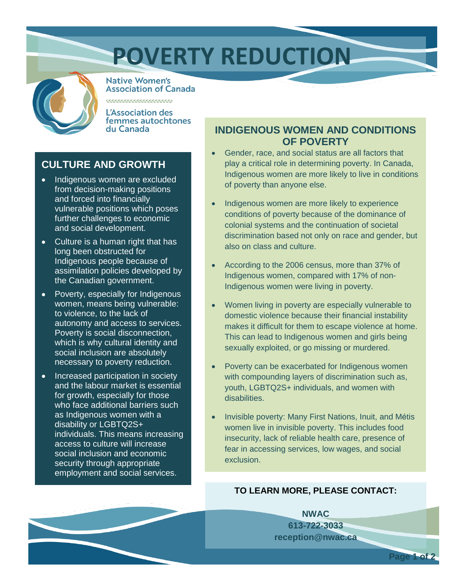# **POVERTY REDUCTION**



**Native Women's Association of Canada** 

L'Association des femmes autochtones du Canada

### **Culture and Growth**

- Indigenous women are excluded from decision-making positions and forced into financially vulnerable positions. This can pose further challenges to their economic and social development.
- Culture is a human right that has long been obstructed for Indigenous people because of assimilation policies developed by the Canadian Government.
- Poverty, especially for Indigenous women, means being vulnerable to violence, and to lack of autonomy and access to services. Poverty is social disconnection, which is why cultural identity and social inclusion are absolutely necessary to poverty reduction.
- Increased participation in society and the labour market is essential for growth, especially for those who face additional barriers such as Indigenous women with a disability or 2SLGBTQ+ individuals. This means increasing access to culture will increase social inclusion and economic security through appropriate employment and social services.

### **Indigenous Women and Conditions of Poverty**

- Gender, race, and social status are all factors that play a critical role in determining poverty. In Canada, Indigenous women are more likely to live in conditions of poverty than anyone else.
- Indigenous women are more likely to experience conditions of poverty because of the dominance of colonial systems and the continuation of societal discrimination based not only on race and gender, but also on class and culture.
- According to the 2006 census, more than 37% of Indigenous women, compared with 17% of non-Indigenous women, were living in poverty.
- Women living in poverty are especially vulnerable to domestic violence because their financial instability makes it difficult for them to escape violence at home. This can lead to Indigenous women and girls being sexually exploited, or go missing or murdered.
- Poverty can be exacerbated for Indigenous women with compounding layers of discrimination such as youth, 2SLGBTQ+ individuals and women with disabilities.
- Invisible poverty: Many First Nations, Métis and Inuit women live in invisible poverty. This includes food insecurity, lack of reliable health care, presence of fear in accessing services, low wages and social exclusion.

#### **TO LEARN MORE, PLEASE CONTACT:**

**NWAC 613-722-3033 reception@nwac.ca**

Page 1 of